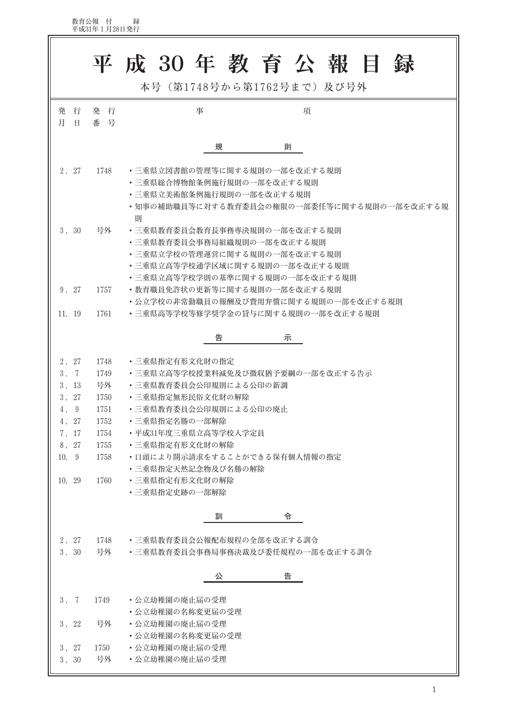教育公報 付 録<br>平成31年1月28日発行

|                                                 |            | 平成 30年教育公報目録                                                                                                                                                    |  |  |  |  |
|-------------------------------------------------|------------|-----------------------------------------------------------------------------------------------------------------------------------------------------------------|--|--|--|--|
|                                                 |            | 本号 (第1748号から第1762号まで)及び号外                                                                                                                                       |  |  |  |  |
| 行<br>発<br>月<br>$\Box$                           | 発 行<br>番 号 | 事<br>項                                                                                                                                                          |  |  |  |  |
|                                                 |            | 規<br>則                                                                                                                                                          |  |  |  |  |
| 2. 27                                           | 1748       | ・三重県立図書館の管理等に関する規則の一部を改正する規則<br>・三重県総合博物館条例施行規則の一部を改正する規則<br>・三重県立美術館条例施行規則の一部を改正する規則<br>•知事の補助職員等に対する教育委員会の権限の一部委任等に関する規則の一部を改正する規<br>則                        |  |  |  |  |
| 3.30                                            | 号外         | ・三重県教育委員会教育長事務専決規則の一部を改正する規則<br>・三重県教育委員会事務局組織規則の一部を改正する規則<br>• 三重県立学校の管理運営に関する規則の一部を改正する規則<br>• 三重県立高等学校通学区域に関する規則の一部を改正する規則<br>・三重県立高等学校学則の基準に関する規則の一部を改正する規則 |  |  |  |  |
| 9.27                                            | 1757       | ・教育職員免許状の更新等に関する規則の一部を改正する規則<br>・公立学校の非常勤職員の報酬及び費用弁償に関する規則の一部を改正する規則                                                                                            |  |  |  |  |
| 11. 19                                          | 1761       | ・三重県高等学校等修学奨学金の貸与に関する規則の一部を改正する規則                                                                                                                               |  |  |  |  |
|                                                 |            | 告<br>示                                                                                                                                                          |  |  |  |  |
| 2. 27                                           | 1748       | ・三重県指定有形文化財の指定                                                                                                                                                  |  |  |  |  |
| 3.7                                             | 1749       | ・三重県立高等学校授業料減免及び徴収猶予要綱の一部を改正する告示                                                                                                                                |  |  |  |  |
| 3.13                                            | 号外         | • 三重県教育委員会公印規則による公印の新調                                                                                                                                          |  |  |  |  |
| 3.27                                            | 1750       | • 三重県指定無形民俗文化財の解除                                                                                                                                               |  |  |  |  |
| 4.9                                             | 1751       | • 三重県教育委員会公印規則による公印の廃止                                                                                                                                          |  |  |  |  |
| 4.27                                            | 1752       | ・三重県指定名勝の一部解除                                                                                                                                                   |  |  |  |  |
| 7.17                                            | 1754       | •平成31年度三重県立高等学校入学定員                                                                                                                                             |  |  |  |  |
| 8. 27                                           | 1755       | • 三重県指定有形文化財の解除                                                                                                                                                 |  |  |  |  |
| 10. 9                                           | 1758       | ・口頭により開示請求をすることができる保有個人情報の指定                                                                                                                                    |  |  |  |  |
|                                                 |            | ・三重県指定天然記念物及び名勝の解除                                                                                                                                              |  |  |  |  |
| 10. 29                                          | 1760       | ・三重県指定有形文化財の解除                                                                                                                                                  |  |  |  |  |
|                                                 |            | ・三重県指定史跡の一部解除                                                                                                                                                   |  |  |  |  |
|                                                 |            | 訓<br>令                                                                                                                                                          |  |  |  |  |
|                                                 |            |                                                                                                                                                                 |  |  |  |  |
| 2. 27                                           | 1748       | ・三重県教育委員会公報配布規程の全部を改正する訓令                                                                                                                                       |  |  |  |  |
| 3.30<br>号外<br>• 三重県教育委員会事務局事務決裁及び委任規程の一部を改正する訓令 |            |                                                                                                                                                                 |  |  |  |  |
|                                                 |            | 告<br>公                                                                                                                                                          |  |  |  |  |
| 3.7                                             | 1749       | ・公立幼稚園の廃止届の受理                                                                                                                                                   |  |  |  |  |
|                                                 |            | ・公立幼稚園の名称変更届の受理                                                                                                                                                 |  |  |  |  |
| 3.22                                            | 号外         | ・公立幼稚園の廃止届の受理                                                                                                                                                   |  |  |  |  |
|                                                 |            | ・公立幼稚園の名称変更届の受理                                                                                                                                                 |  |  |  |  |
| 3.27                                            | 1750       | ・公立幼稚園の廃止届の受理                                                                                                                                                   |  |  |  |  |
| 3.30                                            | 号外         | • 公立幼稚園の廃止届の受理                                                                                                                                                  |  |  |  |  |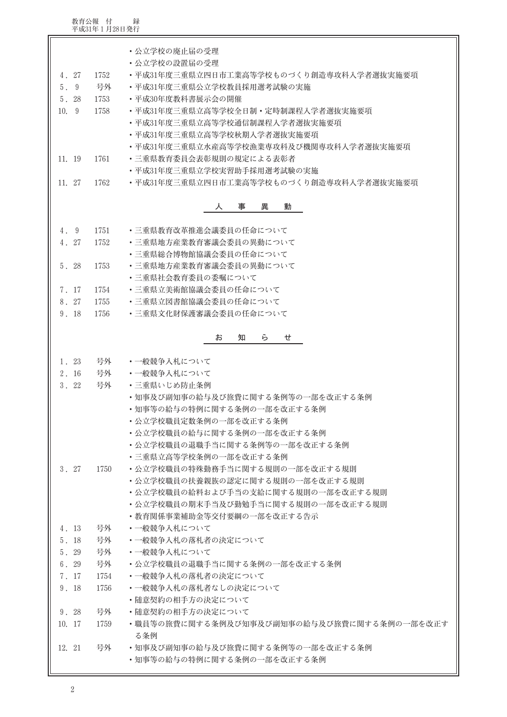教育公報 付 録<br>平成31年1月28日発行

| 4. 27<br>5.9<br>5.28<br>10. 9<br>11. 19                                       | 1752<br>号外<br>1753<br>1758<br>1761 | ・公立学校の廃止届の受理<br>• 公立学校の設置届の受理<br>•平成31年度三重県立四日市工業高等学校ものづくり創造専攻科入学者選抜実施要項<br>•平成31年度三重県公立学校教員採用選考試験の実施<br>•平成30年度教科書展示会の開催<br>• 平成31年度三重県立高等学校全日制 • 定時制課程入学者選抜実施要項<br>• 平成31年度三重県立高等学校通信制課程入学者選抜実施要項<br>• 平成31年度三重県立高等学校秋期入学者選抜実施要項<br>・平成31年度三重県立水産高等学校漁業専攻科及び機関専攻科入学者選抜実施要項<br>・三重県教育委員会表彰規則の規定による表彰者<br>・平成31年度三重県立学校実習助手採用選考試験の実施 |  |  |  |  |  |
|-------------------------------------------------------------------------------|------------------------------------|--------------------------------------------------------------------------------------------------------------------------------------------------------------------------------------------------------------------------------------------------------------------------------------------------------------------------------------|--|--|--|--|--|
| 11. 27<br>・平成31年度三重県立四日市工業高等学校ものづくり創造専攻科入学者選抜実施要項<br>1762<br>異<br>動<br>人<br>事 |                                    |                                                                                                                                                                                                                                                                                                                                      |  |  |  |  |  |
|                                                                               |                                    |                                                                                                                                                                                                                                                                                                                                      |  |  |  |  |  |
| 4. 9                                                                          | 1751                               | • 三重県教育改革推進会議委員の任命について                                                                                                                                                                                                                                                                                                               |  |  |  |  |  |
| 4. 27                                                                         | 1752                               | ・三重県地方産業教育審議会委員の異動について                                                                                                                                                                                                                                                                                                               |  |  |  |  |  |
|                                                                               |                                    | • 三重県総合博物館協議会委員の任命について                                                                                                                                                                                                                                                                                                               |  |  |  |  |  |
| 5. 28                                                                         | 1753                               | • 三重県地方産業教育審議会委員の異動について                                                                                                                                                                                                                                                                                                              |  |  |  |  |  |
|                                                                               |                                    | ・三重県社会教育委員の委嘱について                                                                                                                                                                                                                                                                                                                    |  |  |  |  |  |
| 7.17                                                                          | 1754                               | • 三重県立美術館協議会委員の任命について                                                                                                                                                                                                                                                                                                                |  |  |  |  |  |
| 8. 27<br>9.18                                                                 | 1755<br>1756                       | ・三重県立図書館協議会委員の任命について<br>• 三重県文化財保護審議会委員の任命について                                                                                                                                                                                                                                                                                       |  |  |  |  |  |
|                                                                               |                                    |                                                                                                                                                                                                                                                                                                                                      |  |  |  |  |  |
| お<br>知<br>ら<br>せ                                                              |                                    |                                                                                                                                                                                                                                                                                                                                      |  |  |  |  |  |
| 1. 23                                                                         | 号外                                 | ・一般競争入札について                                                                                                                                                                                                                                                                                                                          |  |  |  |  |  |
| 2. 16                                                                         | 号外                                 | ・一般競争入札について                                                                                                                                                                                                                                                                                                                          |  |  |  |  |  |
| 3.22                                                                          | 号外                                 | ・三重県いじめ防止条例                                                                                                                                                                                                                                                                                                                          |  |  |  |  |  |
|                                                                               |                                    | ・知事及び副知事の給与及び旅費に関する条例等の一部を改正する条例                                                                                                                                                                                                                                                                                                     |  |  |  |  |  |
|                                                                               |                                    | ・知事等の給与の特例に関する条例の一部を改正する条例                                                                                                                                                                                                                                                                                                           |  |  |  |  |  |
|                                                                               |                                    | • 公立学校職員定数条例の一部を改正する条例                                                                                                                                                                                                                                                                                                               |  |  |  |  |  |
|                                                                               |                                    | ・公立学校職員の給与に関する条例の一部を改正する条例                                                                                                                                                                                                                                                                                                           |  |  |  |  |  |
|                                                                               |                                    | ・公立学校職員の退職手当に関する条例等の一部を改正する条例<br>• 三重県立高等学校条例の一部を改正する条例                                                                                                                                                                                                                                                                              |  |  |  |  |  |
| 3.27                                                                          | 1750                               |                                                                                                                                                                                                                                                                                                                                      |  |  |  |  |  |
|                                                                               |                                    | • 公立学校職員の特殊勤務手当に関する規則の一部を改正する規則<br>・公立学校職員の扶養親族の認定に関する規則の一部を改正する規則                                                                                                                                                                                                                                                                   |  |  |  |  |  |
|                                                                               |                                    | ・公立学校職員の給料および手当の支給に関する規則の一部を改正する規則                                                                                                                                                                                                                                                                                                   |  |  |  |  |  |
|                                                                               |                                    | ・公立学校職員の期末手当及び勤勉手当に関する規則の一部を改正する規則                                                                                                                                                                                                                                                                                                   |  |  |  |  |  |
|                                                                               |                                    | ・教育関係事業補助金等交付要綱の一部を改正する告示                                                                                                                                                                                                                                                                                                            |  |  |  |  |  |
| 4. 13                                                                         | 号外                                 | ・一般競争入札について                                                                                                                                                                                                                                                                                                                          |  |  |  |  |  |
| 5. 18                                                                         | 号外                                 | ・一般競争入札の落札者の決定について                                                                                                                                                                                                                                                                                                                   |  |  |  |  |  |
| 5. 29                                                                         | 号外                                 | ・一般競争入札について                                                                                                                                                                                                                                                                                                                          |  |  |  |  |  |
| 6.29                                                                          | 号外                                 | ・公立学校職員の退職手当に関する条例の一部を改正する条例                                                                                                                                                                                                                                                                                                         |  |  |  |  |  |
| 7.17                                                                          | 1754                               | ・一般競争入札の落札者の決定について                                                                                                                                                                                                                                                                                                                   |  |  |  |  |  |
| 9.18                                                                          | 1756                               | ・一般競争入札の落札者なしの決定について                                                                                                                                                                                                                                                                                                                 |  |  |  |  |  |
|                                                                               |                                    | ・随意契約の相手方の決定について                                                                                                                                                                                                                                                                                                                     |  |  |  |  |  |
| 9.28                                                                          | 号外                                 | ・随意契約の相手方の決定について                                                                                                                                                                                                                                                                                                                     |  |  |  |  |  |
| 10. 17                                                                        | 1759                               | ・職員等の旅費に関する条例及び知事及び副知事の給与及び旅費に関する条例の一部を改正す                                                                                                                                                                                                                                                                                           |  |  |  |  |  |
|                                                                               |                                    | る条例                                                                                                                                                                                                                                                                                                                                  |  |  |  |  |  |
| 12. 21                                                                        | 号外                                 | • 知事及び副知事の給与及び旅費に関する条例等の一部を改正する条例                                                                                                                                                                                                                                                                                                    |  |  |  |  |  |
| ・知事等の給与の特例に関する条例の一部を改正する条例                                                    |                                    |                                                                                                                                                                                                                                                                                                                                      |  |  |  |  |  |

 $\overline{\mathbf{u}}$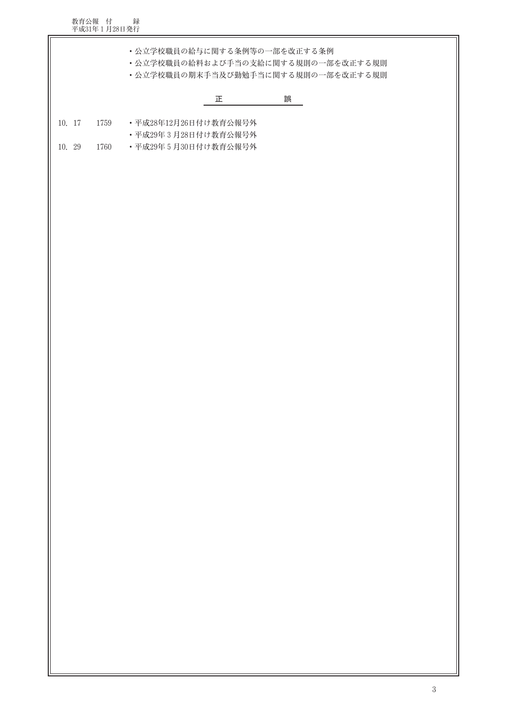教育公報 付 録<br>平成31年1月28日発行

• 公立学校職員の給料および手当の支給に関する規則の一部を改正する規則

• 公立学校職員の期末手当及び勤勉手当に関する規則の一部を改正する規則

## 誤  $\mathbb{E}$  and  $\mathbb{E}$

- 10. 17 1759 •平成28年12月26日付け教育公報号外
	- 平成29年3月28日付け教育公報号外
- 10. 29 •平成29年5月30日付け教育公報号外 1760